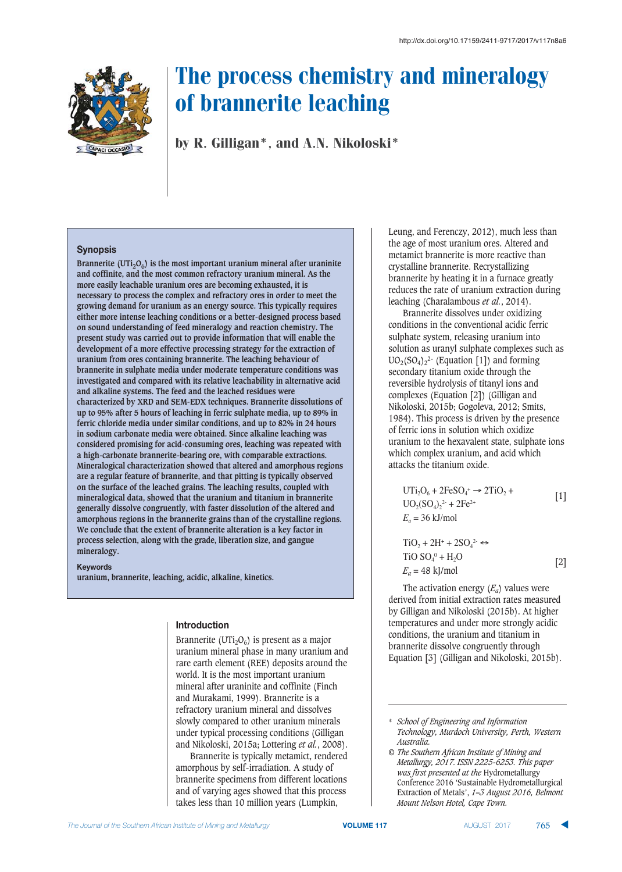

by R. Gilligan\*, and A.N. Nikoloski\*

## **Synopsis**

Brannerite (UTi<sub>2</sub>O<sub>6</sub>) is the most important uranium mineral after uraninite **and coffinite, and the most common refractory uranium mineral. As the more easily leachable uranium ores are becoming exhausted, it is necessary to process the complex and refractory ores in order to meet the growing demand for uranium as an energy source. This typically requires either more intense leaching conditions or a better-designed process based on sound understanding of feed mineralogy and reaction chemistry. The present study was carried out to provide information that will enable the development of a more effective processing strategy for the extraction of uranium from ores containing brannerite. The leaching behaviour of brannerite in sulphate media under moderate temperature conditions was investigated and compared with its relative leachability in alternative acid and alkaline systems. The feed and the leached residues were characterized by XRD and SEM-EDX techniques. Brannerite dissolutions of up to 95% after 5 hours of leaching in ferric sulphate media, up to 89% in ferric chloride media under similar conditions, and up to 82% in 24 hours in sodium carbonate media were obtained. Since alkaline leaching was considered promising for acid-consuming ores, leaching was repeated with a high-carbonate brannerite-bearing ore, with comparable extractions. Mineralogical characterization showed that altered and amorphous regions are a regular feature of brannerite, and that pitting is typically observed on the surface of the leached grains. The leaching results, coupled with mineralogical data, showed that the uranium and titanium in brannerite generally dissolve congruently, with faster dissolution of the altered and amorphous regions in the brannerite grains than of the crystalline regions. We conclude that the extent of brannerite alteration is a key factor in process selection, along with the grade, liberation size, and gangue mineralogy.**

**Keywords** 

**uranium, brannerite, leaching, acidic, alkaline, kinetics.**

#### **Introduction**

Brannerite (UTi<sub>2</sub>O<sub>6</sub>) is present as a major uranium mineral phase in many uranium and rare earth element (REE) deposits around the world. It is the most important uranium mineral after uraninite and coffinite (Finch and Murakami, 1999). Brannerite is a refractory uranium mineral and dissolves slowly compared to other uranium minerals under typical processing conditions (Gilligan and Nikoloski, 2015a; Lottering *et al.*, 2008).

Brannerite is typically metamict, rendered amorphous by self-irradiation. A study of brannerite specimens from different locations and of varying ages showed that this process takes less than 10 million years (Lumpkin,

Leung, and Ferenczy, 2012), much less than the age of most uranium ores. Altered and metamict brannerite is more reactive than crystalline brannerite. Recrystallizing brannerite by heating it in a furnace greatly reduces the rate of uranium extraction during leaching (Charalambous *et al.*, 2014).

Brannerite dissolves under oxidizing conditions in the conventional acidic ferric sulphate system, releasing uranium into solution as uranyl sulphate complexes such as  $UO<sub>2</sub>(SO<sub>4</sub>)<sub>2</sub><sup>2</sup>$  (Equation [1]) and forming secondary titanium oxide through the reversible hydrolysis of titanyl ions and complexes (Equation [2]) (Gilligan and Nikoloski, 2015b; Gogoleva, 2012; Smits, 1984). This process is driven by the presence of ferric ions in solution which oxidize uranium to the hexavalent state, sulphate ions which complex uranium, and acid which attacks the titanium oxide.

$$
UTi2O6 + 2FeSO4+ \rightarrow 2TiO2 +\nUO2(SO4)22 + 2Fe2+
$$
\n[1]  
\n $E_a = 36$  kJ/mol

$$
TiO2 + 2H+ + 2SO42 \leftrightarrow
$$
  
TiO SO<sub>4</sub><sup>0</sup> + H<sub>2</sub>O  
 $E_a$  = 48 kJ/mol [2]

The activation energy  $(E_a)$  values were derived from initial extraction rates measured by Gilligan and Nikoloski (2015b). At higher temperatures and under more strongly acidic conditions, the uranium and titanium in brannerite dissolve congruently through Equation [3] (Gilligan and Nikoloski, 2015b).

<sup>\*</sup> *School of Engineering and Information Technology, Murdoch University, Perth, Western Australia.*

*<sup>©</sup> The Southern African Institute of Mining and Metallurgy, 2017. ISSN 2225-6253. This paper was first presented at the* Hydrometallurgy Conference 2016 'Sustainable Hydrometallurgical Extraction of Metals', *1–3 August 2016, Belmont Mount Nelson Hotel, Cape Town.*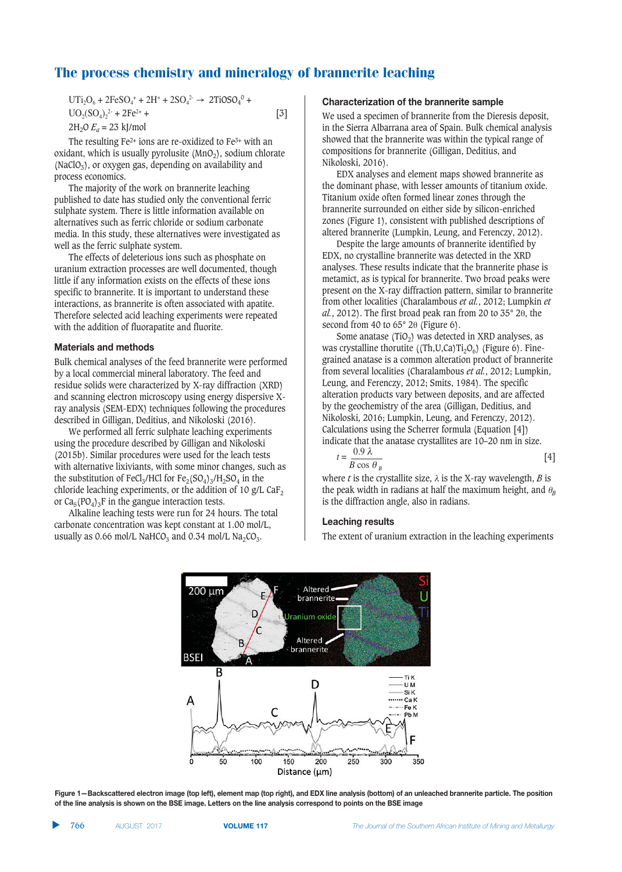$UTi<sub>2</sub>O<sub>6</sub> + 2FeSO<sub>4</sub><sup>+</sup> + 2H<sup>+</sup> + 2SO<sub>4</sub><sup>2-</sup> \rightarrow 2TiOSO<sub>4</sub><sup>0</sup> +$  $UO_2(SO_4)_2^2 + 2Fe^{2+} +$  [3]  $2H_2O E_a = 23$  kJ/mol

The resulting Fe2+ ions are re-oxidized to Fe3+ with an oxidant, which is usually pyrolusite  $(MnO<sub>2</sub>)$ , sodium chlorate (NaClO<sub>3</sub>), or oxygen gas, depending on availability and process economics.

The majority of the work on brannerite leaching published to date has studied only the conventional ferric sulphate system. There is little information available on alternatives such as ferric chloride or sodium carbonate media. In this study, these alternatives were investigated as well as the ferric sulphate system.

The effects of deleterious ions such as phosphate on uranium extraction processes are well documented, though little if any information exists on the effects of these ions specific to brannerite. It is important to understand these interactions, as brannerite is often associated with apatite. Therefore selected acid leaching experiments were repeated with the addition of fluorapatite and fluorite.

## **Materials and methods**

Bulk chemical analyses of the feed brannerite were performed by a local commercial mineral laboratory. The feed and residue solids were characterized by X-ray diffraction (XRD) and scanning electron microscopy using energy dispersive Xray analysis (SEM-EDX) techniques following the procedures described in Gilligan, Deditius, and Nikoloski (2016).

We performed all ferric sulphate leaching experiments using the procedure described by Gilligan and Nikoloski (2015b). Similar procedures were used for the leach tests with alternative lixiviants, with some minor changes, such as the substitution of FeCl<sub>3</sub>/HCl for Fe<sub>2</sub>(SO<sub>4</sub>)<sub>3</sub>/H<sub>2</sub>SO<sub>4</sub> in the chloride leaching experiments, or the addition of 10 g/L CaF<sub>2</sub> or  $Ca<sub>5</sub>(PO<sub>4</sub>)<sub>3</sub>F$  in the gangue interaction tests.

Alkaline leaching tests were run for 24 hours. The total carbonate concentration was kept constant at 1.00 mol/L, usually as 0.66 mol/L NaHCO<sub>3</sub> and 0.34 mol/L Na<sub>2</sub>CO<sub>3</sub>.

#### **Characterization of the brannerite sample**

We used a specimen of brannerite from the Dieresis deposit, in the Sierra Albarrana area of Spain. Bulk chemical analysis showed that the brannerite was within the typical range of compositions for brannerite (Gilligan, Deditius, and Nikoloski, 2016).

EDX analyses and element maps showed brannerite as the dominant phase, with lesser amounts of titanium oxide. Titanium oxide often formed linear zones through the brannerite surrounded on either side by silicon-enriched zones (Figure 1), consistent with published descriptions of altered brannerite (Lumpkin, Leung, and Ferenczy, 2012).

Despite the large amounts of brannerite identified by EDX, no crystalline brannerite was detected in the XRD analyses. These results indicate that the brannerite phase is metamict, as is typical for brannerite. Two broad peaks were present on the X-ray diffraction pattern, similar to brannerite from other localities (Charalambous *et al.*, 2012; Lumpkin *et*  $al.$ , 2012). The first broad peak ran from 20 to 35 $^{\circ}$  20, the second from 40 to  $65^{\circ}$  2 $\theta$  (Figure 6).

Some anatase (TiO<sub>2</sub>) was detected in XRD analyses, as was crystalline thorutite ((Th,U,Ca)Ti<sub>2</sub>O<sub>6</sub>) (Figure 6). Finegrained anatase is a common alteration product of brannerite from several localities (Charalambous *et al.*, 2012; Lumpkin, Leung, and Ferenczy, 2012; Smits, 1984). The specific alteration products vary between deposits, and are affected by the geochemistry of the area (Gilligan, Deditius, and Nikoloski, 2016; Lumpkin, Leung, and Ferenczy, 2012). Calculations using the Scherrer formula (Equation [4]) indicate that the anatase crystallites are 10–20 nm in size.

$$
t = \frac{0.9 \lambda}{B \cos \theta_B} \tag{4}
$$

where *t* is the crystallite size,  $\lambda$  is the X-ray wavelength, *B* is the peak width in radians at half the maximum height, and  $\theta_{\rm B}$ is the diffraction angle, also in radians.

## **Leaching results**

The extent of uranium extraction in the leaching experiments



Figure 1-Backscattered electron image (top left), element map (top right), and EDX line analysis (bottom) of an unleached brannerite particle. The position of the line analysis is shown on the BSE image. Letters on the line analysis correspond to points on the BSE image

▲ **766** AUGUST 2017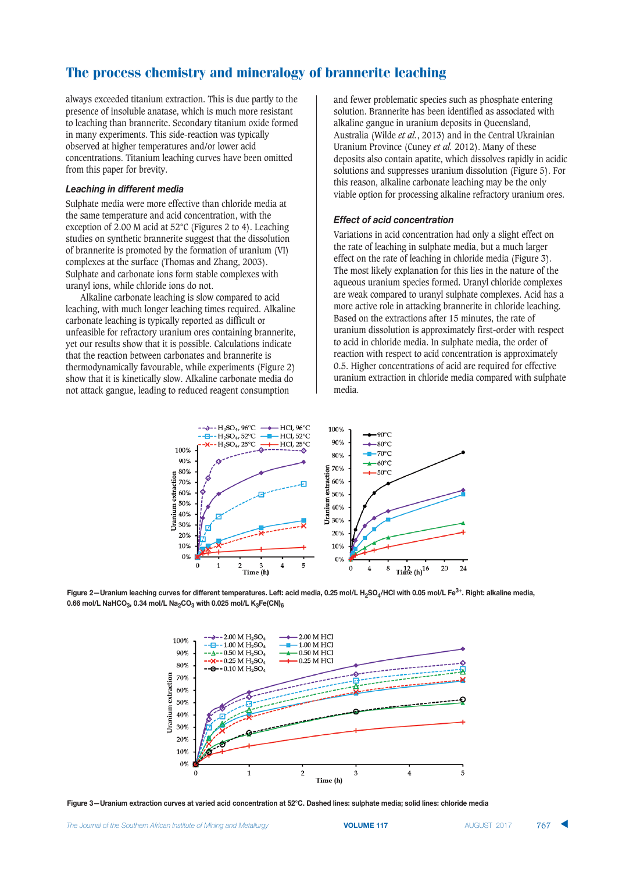always exceeded titanium extraction. This is due partly to the presence of insoluble anatase, which is much more resistant to leaching than brannerite. Secondary titanium oxide formed in many experiments. This side-reaction was typically observed at higher temperatures and/or lower acid concentrations. Titanium leaching curves have been omitted from this paper for brevity.

## **Leaching in different media**

Sulphate media were more effective than chloride media at the same temperature and acid concentration, with the exception of 2.00 M acid at 52°C (Figures 2 to 4). Leaching studies on synthetic brannerite suggest that the dissolution of brannerite is promoted by the formation of uranium (VI) complexes at the surface (Thomas and Zhang, 2003). Sulphate and carbonate ions form stable complexes with uranyl ions, while chloride ions do not.

Alkaline carbonate leaching is slow compared to acid leaching, with much longer leaching times required. Alkaline carbonate leaching is typically reported as difficult or unfeasible for refractory uranium ores containing brannerite, yet our results show that it is possible. Calculations indicate that the reaction between carbonates and brannerite is thermodynamically favourable, while experiments (Figure 2) show that it is kinetically slow. Alkaline carbonate media do not attack gangue, leading to reduced reagent consumption

and fewer problematic species such as phosphate entering solution. Brannerite has been identified as associated with alkaline gangue in uranium deposits in Queensland, Australia (Wilde *et al.*, 2013) and in the Central Ukrainian Uranium Province (Cuney *et al.* 2012). Many of these deposits also contain apatite, which dissolves rapidly in acidic solutions and suppresses uranium dissolution (Figure 5). For this reason, alkaline carbonate leaching may be the only viable option for processing alkaline refractory uranium ores.

## **Effect of acid concentration**

Variations in acid concentration had only a slight effect on the rate of leaching in sulphate media, but a much larger effect on the rate of leaching in chloride media (Figure 3). The most likely explanation for this lies in the nature of the aqueous uranium species formed. Uranyl chloride complexes are weak compared to uranyl sulphate complexes. Acid has a more active role in attacking brannerite in chloride leaching. Based on the extractions after 15 minutes, the rate of uranium dissolution is approximately first-order with respect to acid in chloride media. In sulphate media, the order of reaction with respect to acid concentration is approximately 0.5. Higher concentrations of acid are required for effective uranium extraction in chloride media compared with sulphate media.



Figure 2-Uranium leaching curves for different temperatures. Left: acid media, 0.25 mol/L H<sub>2</sub>SO<sub>4</sub>/HCl with 0.05 mol/L Fe<sup>3+</sup>. Right: alkaline media, 0.66 mol/L NaHCO<sub>3</sub>, 0.34 mol/L Na<sub>2</sub>CO<sub>3</sub> with 0.025 mol/L K<sub>3</sub>Fe(CN)<sub>6</sub>



Figure 3—Uranium extraction curves at varied acid concentration at 52°C. Dashed lines: sulphate media; solid lines: chloride media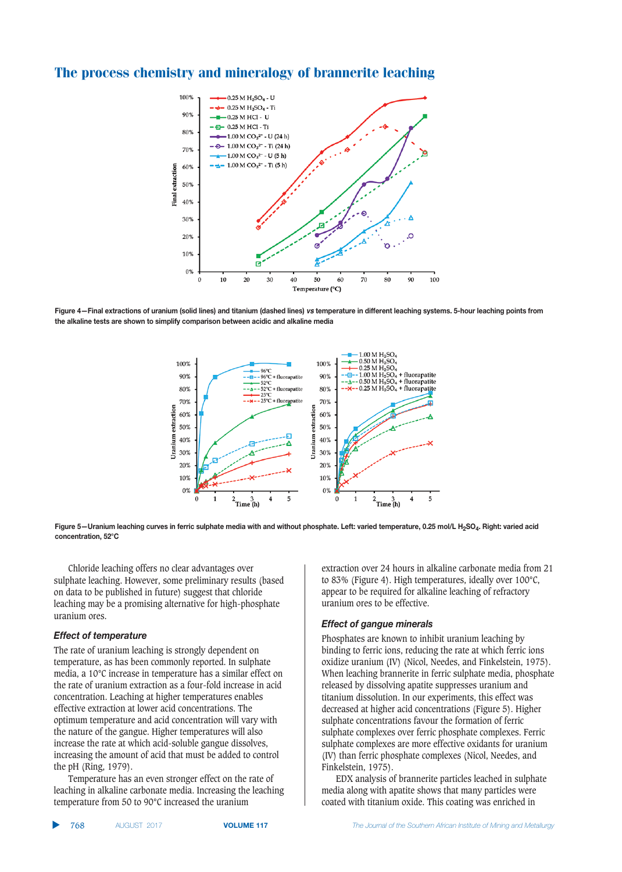

Figure 4-Final extractions of uranium (solid lines) and titanium (dashed lines) vs temperature in different leaching systems. 5-hour leaching points from the alkaline tests are shown to simplify comparison between acidic and alkaline media





Chloride leaching offers no clear advantages over sulphate leaching. However, some preliminary results (based on data to be published in future) suggest that chloride leaching may be a promising alternative for high-phosphate uranium ores.

#### **Effect of temperature**

The rate of uranium leaching is strongly dependent on temperature, as has been commonly reported. In sulphate media, a 10°C increase in temperature has a similar effect on the rate of uranium extraction as a four-fold increase in acid concentration. Leaching at higher temperatures enables effective extraction at lower acid concentrations. The optimum temperature and acid concentration will vary with the nature of the gangue. Higher temperatures will also increase the rate at which acid-soluble gangue dissolves, increasing the amount of acid that must be added to control the pH (Ring, 1979).

Temperature has an even stronger effect on the rate of leaching in alkaline carbonate media. Increasing the leaching temperature from 50 to 90°C increased the uranium

extraction over 24 hours in alkaline carbonate media from 21 to 83% (Figure 4). High temperatures, ideally over 100°C, appear to be required for alkaline leaching of refractory uranium ores to be effective.

## **Effect of gangue minerals**

Phosphates are known to inhibit uranium leaching by binding to ferric ions, reducing the rate at which ferric ions oxidize uranium (IV) (Nicol, Needes, and Finkelstein, 1975). When leaching brannerite in ferric sulphate media, phosphate released by dissolving apatite suppresses uranium and titanium dissolution. In our experiments, this effect was decreased at higher acid concentrations (Figure 5). Higher sulphate concentrations favour the formation of ferric sulphate complexes over ferric phosphate complexes. Ferric sulphate complexes are more effective oxidants for uranium (IV) than ferric phosphate complexes (Nicol, Needes, and Finkelstein, 1975).

EDX analysis of brannerite particles leached in sulphate media along with apatite shows that many particles were coated with titanium oxide. This coating was enriched in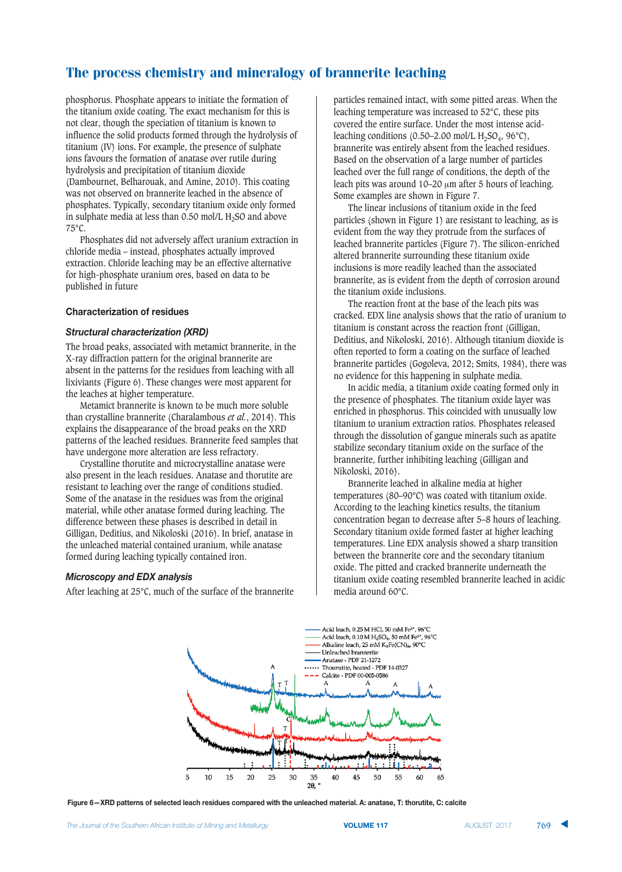phosphorus. Phosphate appears to initiate the formation of the titanium oxide coating. The exact mechanism for this is not clear, though the speciation of titanium is known to influence the solid products formed through the hydrolysis of titanium (IV) ions. For example, the presence of sulphate ions favours the formation of anatase over rutile during hydrolysis and precipitation of titanium dioxide (Dambournet, Belharouak, and Amine, 2010). This coating was not observed on brannerite leached in the absence of phosphates. Typically, secondary titanium oxide only formed in sulphate media at less than  $0.50$  mol/L H<sub>2</sub>SO and above 75°C.

Phosphates did not adversely affect uranium extraction in chloride media – instead, phosphates actually improved extraction. Chloride leaching may be an effective alternative for high-phosphate uranium ores, based on data to be published in future

## **Characterization of residues**

## *-*

The broad peaks, associated with metamict brannerite, in the X-ray diffraction pattern for the original brannerite are absent in the patterns for the residues from leaching with all lixiviants (Figure 6). These changes were most apparent for the leaches at higher temperature.

Metamict brannerite is known to be much more soluble than crystalline brannerite (Charalambous *et al.*, 2014). This explains the disappearance of the broad peaks on the XRD patterns of the leached residues. Brannerite feed samples that have undergone more alteration are less refractory.

Crystalline thorutite and microcrystalline anatase were also present in the leach residues. Anatase and thorutite are resistant to leaching over the range of conditions studied. Some of the anatase in the residues was from the original material, while other anatase formed during leaching. The difference between these phases is described in detail in Gilligan, Deditius, and Nikoloski (2016). In brief, anatase in the unleached material contained uranium, while anatase formed during leaching typically contained iron.

#### *Microscopy and EDX analysis*

After leaching at 25°C, much of the surface of the brannerite

particles remained intact, with some pitted areas. When the leaching temperature was increased to 52°C, these pits covered the entire surface. Under the most intense acidleaching conditions (0.50–2.00 mol/L  $H_2SO_4$ , 96°C), brannerite was entirely absent from the leached residues. Based on the observation of a large number of particles leached over the full range of conditions, the depth of the leach pits was around 10–20  $\mu$ m after 5 hours of leaching. Some examples are shown in Figure 7.

The linear inclusions of titanium oxide in the feed particles (shown in Figure 1) are resistant to leaching, as is evident from the way they protrude from the surfaces of leached brannerite particles (Figure 7). The silicon-enriched altered brannerite surrounding these titanium oxide inclusions is more readily leached than the associated brannerite, as is evident from the depth of corrosion around the titanium oxide inclusions.

The reaction front at the base of the leach pits was cracked. EDX line analysis shows that the ratio of uranium to titanium is constant across the reaction front (Gilligan, Deditius, and Nikoloski, 2016). Although titanium dioxide is often reported to form a coating on the surface of leached brannerite particles (Gogoleva, 2012; Smits, 1984), there was no evidence for this happening in sulphate media.

In acidic media, a titanium oxide coating formed only in the presence of phosphates. The titanium oxide layer was enriched in phosphorus. This coincided with unusually low titanium to uranium extraction ratios. Phosphates released through the dissolution of gangue minerals such as apatite stabilize secondary titanium oxide on the surface of the brannerite, further inhibiting leaching (Gilligan and Nikoloski, 2016).

Brannerite leached in alkaline media at higher temperatures (80–90°C) was coated with titanium oxide. According to the leaching kinetics results, the titanium concentration began to decrease after 5–8 hours of leaching. Secondary titanium oxide formed faster at higher leaching temperatures. Line EDX analysis showed a sharp transition between the brannerite core and the secondary titanium oxide. The pitted and cracked brannerite underneath the titanium oxide coating resembled brannerite leached in acidic media around 60°C.



Figure 6-XRD patterns of selected leach residues compared with the unleached material, A: anatase, T: thorutite, C: calcite